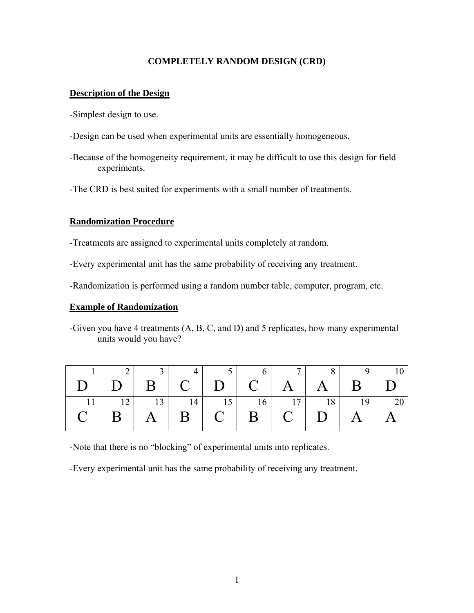### **COMPLETELY RANDOM DESIGN (CRD)**

### **Description of the Design**

-Simplest design to use.

- -Design can be used when experimental units are essentially homogeneous.
- -Because of the homogeneity requirement, it may be difficult to use this design for field experiments.
- -The CRD is best suited for experiments with a small number of treatments.

### **Randomization Procedure**

-Treatments are assigned to experimental units completely at random.

-Every experimental unit has the same probability of receiving any treatment.

-Randomization is performed using a random number table, computer, program, etc.

### **Example of Randomization**

-Given you have 4 treatments (A, B, C, and D) and 5 replicates, how many experimental units would you have?

|                                         | 3 <sup>1</sup> |  | 5 6 7 8 9         |  | 10    |
|-----------------------------------------|----------------|--|-------------------|--|-------|
|                                         |                |  |                   |  |       |
| 12                                      |                |  | 13 14 15 16 17 18 |  | 19 20 |
| $C$   B   A   B   C   B   C   D   A   A |                |  |                   |  |       |

-Note that there is no "blocking" of experimental units into replicates.

-Every experimental unit has the same probability of receiving any treatment.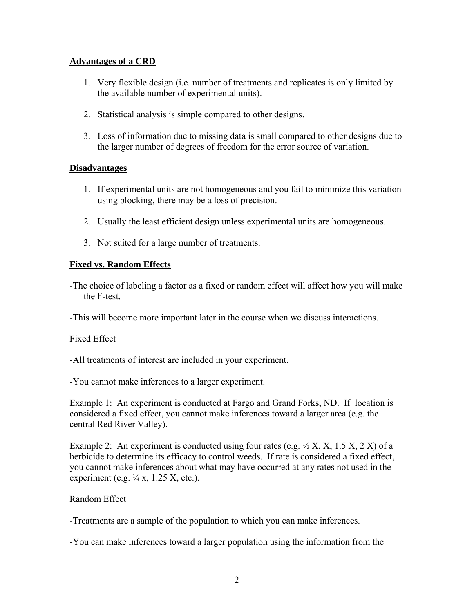# **Advantages of a CRD**

- 1. Very flexible design (i.e. number of treatments and replicates is only limited by the available number of experimental units).
- 2. Statistical analysis is simple compared to other designs.
- 3. Loss of information due to missing data is small compared to other designs due to the larger number of degrees of freedom for the error source of variation.

## **Disadvantages**

- 1. If experimental units are not homogeneous and you fail to minimize this variation using blocking, there may be a loss of precision.
- 2. Usually the least efficient design unless experimental units are homogeneous.
- 3. Not suited for a large number of treatments.

# **Fixed vs. Random Effects**

-The choice of labeling a factor as a fixed or random effect will affect how you will make the F-test.

-This will become more important later in the course when we discuss interactions.

## Fixed Effect

-All treatments of interest are included in your experiment.

-You cannot make inferences to a larger experiment.

Example 1: An experiment is conducted at Fargo and Grand Forks, ND. If location is considered a fixed effect, you cannot make inferences toward a larger area (e.g. the central Red River Valley).

Example 2: An experiment is conducted using four rates (e.g.  $\frac{1}{2}$  X, X, 1.5 X, 2 X) of a herbicide to determine its efficacy to control weeds. If rate is considered a fixed effect, you cannot make inferences about what may have occurred at any rates not used in the experiment (e.g.  $\frac{1}{4}$  x, 1.25 X, etc.).

## Random Effect

-Treatments are a sample of the population to which you can make inferences.

-You can make inferences toward a larger population using the information from the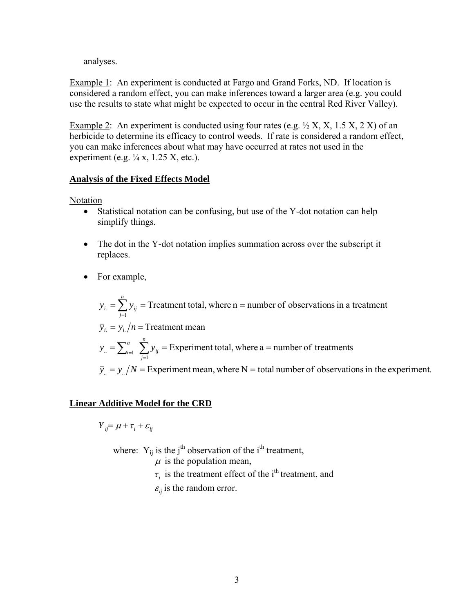analyses.

Example 1: An experiment is conducted at Fargo and Grand Forks, ND. If location is considered a random effect, you can make inferences toward a larger area (e.g. you could use the results to state what might be expected to occur in the central Red River Valley).

Example 2: An experiment is conducted using four rates (e.g.  $\frac{1}{2}$  X, X, 1.5 X, 2 X) of an herbicide to determine its efficacy to control weeds. If rate is considered a random effect, you can make inferences about what may have occurred at rates not used in the experiment (e.g.  $\frac{1}{4}$  x, 1.25 X, etc.).

### **Analysis of the Fixed Effects Model**

Notation

- Statistical notation can be confusing, but use of the Y-dot notation can help simplify things.
- The dot in the Y-dot notation implies summation across over the subscript it replaces.
- For example,

 $\overline{y}_n = y_n/N$  = Experiment mean, where N = total number of observations in the experiment. Experiment total, where  $a =$  number of treatments  $\overline{y}_i = y_i / n =$  Treatment mean Treatment total, where  $n =$  number of observations in a treatment  $=\sum_{i=1}^{a} \sum_{j=1} y_{ij}$  = Experiment total, where a = 1  $y_{ij}$  = Treatment total, where n =  $y = \sum_{i=1}^{a} \sum y_i$  $y_i = \sum y_i$ *n j ij a i .. n j i*.  $\sum$  *j ij* 

### **Linear Additive Model for the CRD**

 $Y_{ii} = \mu + \tau_i + \varepsilon_{ii}$ 

where:  $Y_{ij}$  is the j<sup>th</sup> observation of the i<sup>th</sup> treatment,

 $\mu$  is the population mean,

- $\tau_i$  is the treatment effect of the i<sup>th</sup> treatment, and
- $\varepsilon_{ii}$  is the random error.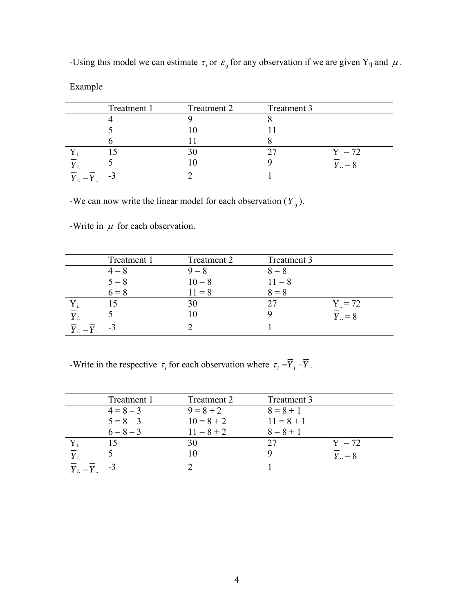|              | Treatment 1 | Treatment 2 | Treatment 3 |                                  |
|--------------|-------------|-------------|-------------|----------------------------------|
|              |             |             |             |                                  |
|              |             |             |             |                                  |
|              |             |             |             |                                  |
|              |             |             |             | $Y_{\dots} = 72$                 |
|              |             |             |             | $\overline{Y}_{\cdot \cdot} = 8$ |
| $Y_{i.} - Y$ | - 1         |             |             |                                  |

-Using this model we can estimate  $\tau_i$  or  $\varepsilon_{ij}$  for any observation if we are given Y<sub>ij</sub> and  $\mu$ .

-We can now write the linear model for each observation ( $Y_{ij}$ ).

-Write in  $\mu$  for each observation.

Example

|                                   | Treatment 1 | Treatment 2 | Treatment 3 |                                  |
|-----------------------------------|-------------|-------------|-------------|----------------------------------|
|                                   | $4 = 8$     | $9 = 8$     | $8 = 8$     |                                  |
|                                   | $5 = 8$     | $10 = 8$    | $11 = 8$    |                                  |
|                                   | $6 = 8$     | $11 = 8$    | $8 = 8$     |                                  |
|                                   |             | 30          |             | $Y_{.} = 72$                     |
| $\overline{Y}_{i.}$               |             |             |             | $\overline{Y}_{\cdot \cdot} = 8$ |
| $\overline{Y}_i - \overline{Y}_i$ | -3          |             |             |                                  |

-Write in the respective  $\tau_i$  for each observation where  $\tau_i = \overline{Y}_{i} - \overline{Y}_{i}$ .

|           | Treatment 1 | Treatment 2  | Treatment 3  |                                  |
|-----------|-------------|--------------|--------------|----------------------------------|
|           | $4 = 8 - 3$ | $9 = 8 + 2$  | $8 = 8 + 1$  |                                  |
|           | $5 = 8 - 3$ | $10 = 8 + 2$ | $11 = 8 + 1$ |                                  |
|           | $6 = 8 - 3$ | $11 = 8 + 2$ | $8 = 8 + 1$  |                                  |
|           |             | 30           | 27           | $Y_{0} = 72$                     |
|           |             | 10           |              | $\overline{Y}_{\cdot \cdot} = 8$ |
| $Y_i - Y$ | -3          |              |              |                                  |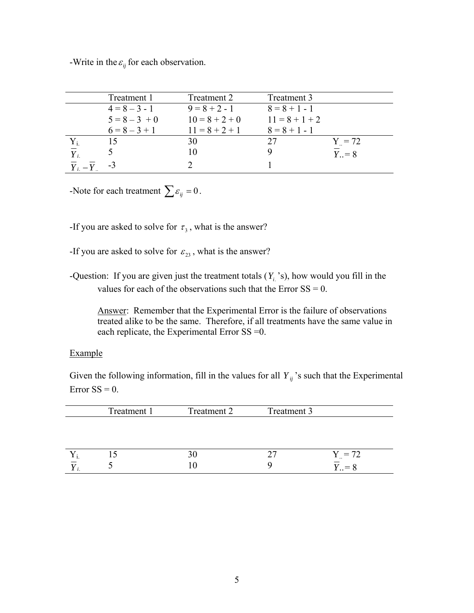-Write in the  $\varepsilon_{ij}$  for each observation.

|                                   | Treatment 1     | Treatment 2      | Treatment 3      |                        |
|-----------------------------------|-----------------|------------------|------------------|------------------------|
|                                   | $4 = 8 - 3 - 1$ | $9 = 8 + 2 - 1$  | $8 = 8 + 1 - 1$  |                        |
|                                   | $5 = 8 - 3 + 0$ | $10 = 8 + 2 + 0$ | $11 = 8 + 1 + 2$ |                        |
|                                   | $6 = 8 - 3 + 1$ | $11 = 8 + 2 + 1$ | $8 = 8 + 1 - 1$  |                        |
| $Y_i$                             |                 | 30               |                  | $Y = 72$               |
| $\overline{Y}_i$                  |                 |                  |                  | $\overline{Y}_{1} = 8$ |
| $\overline{Y}_i - \overline{Y}_i$ | $-3$            |                  |                  |                        |

-Note for each treatment  $\sum \varepsilon_{ij} = 0$ .

- -If you are asked to solve for  $\tau_3$ , what is the answer?
- -If you are asked to solve for  $\varepsilon_{23}$ , what is the answer?
- -Question: If you are given just the treatment totals  $(Y_i, 's)$ , how would you fill in the values for each of the observations such that the Error  $SS = 0$ .

Answer: Remember that the Experimental Error is the failure of observations treated alike to be the same. Therefore, if all treatments have the same value in each replicate, the Experimental Error SS =0.

#### Example

Given the following information, fill in the values for all  $Y_{ij}$ 's such that the Experimental Error  $SS = 0$ .

| Treatment 1 | Treatment 2 | Treatment 3 |          |
|-------------|-------------|-------------|----------|
|             |             |             |          |
|             |             |             |          |
|             |             |             |          |
|             |             |             | $Y = 72$ |
|             |             |             | $= 8$    |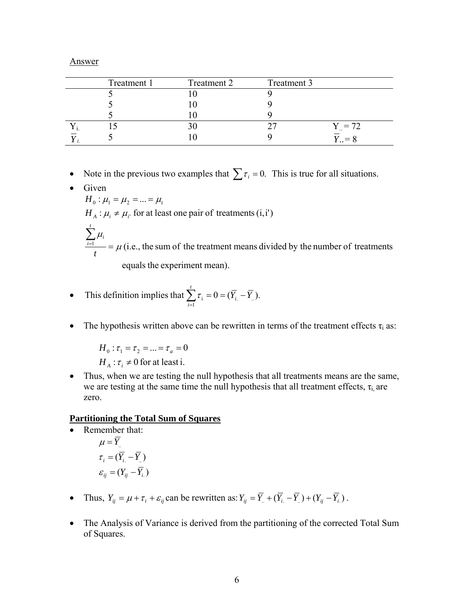Answer

| Treatment 1 | Treatment 2 | Treatment 3 |                     |
|-------------|-------------|-------------|---------------------|
|             |             |             |                     |
|             |             |             |                     |
|             |             |             |                     |
|             |             |             | $Y = 72$            |
|             |             |             | $\angle$ = $\angle$ |

- Note in the previous two examples that  $\sum \tau_i = 0$ . This is true for all situations.
- Given equals the experiment mean).  $t_{\text{max}} = \mu$  (i.e., the sum of the treatment means divided by the number of treatments  $H_A$ :  $\mu_i \neq \mu_i$  for at least one pair of treatments (i, i<sup>t</sup>)  $H_0$  :  $\mu_1 = \mu_2 = ... = \mu_t$ μ  $\sum_{i=1}^{n} \mu_i$ *t t i i*

• This definition implies that 
$$
\sum_{i=1}^{t} \tau_i = 0 = (\overline{Y}_{i.} - \overline{Y}_{i.})
$$
.

• The hypothesis written above can be rewritten in terms of the treatment effects  $\tau_i$  as:

 $H_A$ :  $\tau_i \neq 0$  for at least i.  $H_0: \tau_1 = \tau_2 = ... = \tau_a = 0$ 

• Thus, when we are testing the null hypothesis that all treatments means are the same, we are testing at the same time the null hypothesis that all treatment effects,  $\tau_i$  are zero.

### **Partitioning the Total Sum of Squares**

- Remember that:  $\varepsilon_{ij} = (Y_{ij} - \overline{Y}_{i.})$  $\tau_i = (\overline{Y}_i - \overline{Y}_i)$  $\mu = \overline{Y}$
- Thus,  $Y_{ij} = \mu + \tau_i + \varepsilon_{ij}$  can be rewritten as:  $Y_{ij} = \overline{Y}_i + (\overline{Y}_i \overline{Y}_i) + (Y_{ij} \overline{Y}_i)$ .
- The Analysis of Variance is derived from the partitioning of the corrected Total Sum of Squares.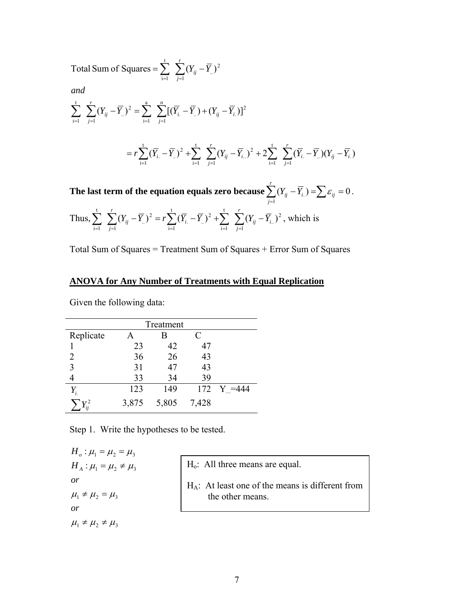Total Sum of Squares =  $\sum \sum (Y_{ii} - \overline{Y})$ 1 2 .. t  $i=1$ *r j*  $=\sum_{i=1}^{\infty}$   $\sum_{j=1}^{\infty} (Y_{ij}-\bar{Y})$ 

*and*

$$
\sum_{i=1}^{t} \sum_{j=1}^{r} (Y_{ij} - \overline{Y}_{..})^2 = \sum_{i=1}^{a} \sum_{j=1}^{n} [(\overline{Y}_{i.} - \overline{Y}_{..}) + (Y_{ij} - \overline{Y}_{i.})]^2
$$

$$
=r\sum_{i=1}^t (\overline{Y}_{i.} - \overline{Y}_{.})^2 + \sum_{i=1}^t \sum_{j=1}^r (Y_{ij} - \overline{Y}_{i.})^2 + 2\sum_{i=1}^t \sum_{j=1}^r (\overline{Y}_{i.} - \overline{Y}_{.})(Y_{ij} - \overline{Y}_{i.})
$$

The last term of the equation equals zero because  $\sum_{j=1}(Y_{ij}-\overline{Y}_{i.})=\sum\varepsilon_{ij}=0$ 1 . $J = \triangle G_{ij}$ *r j*  $(Y_{ij} - \overline{Y}_{i.}) = \sum \varepsilon_{ij} = 0$ .

Thus, 
$$
\sum_{i=1}^{t} \sum_{j=1}^{r} (Y_{ij} - \overline{Y}_{..})^2 = r \sum_{i=1}^{t} (\overline{Y}_{i.} - \overline{Y}_{..})^2 + \sum_{i=1}^{t} \sum_{j=1}^{r} (Y_{ij} - \overline{Y}_{i..})^2
$$
, which is

Total Sum of Squares = Treatment Sum of Squares + Error Sum of Squares

### **ANOVA for Any Number of Treatments with Equal Replication**

Given the following data:

|                    |       | Treatment |       |           |
|--------------------|-------|-----------|-------|-----------|
| Replicate          |       |           | C     |           |
|                    | 23    | 42        | 47    |           |
| 2                  | 36    | 26        | 43    |           |
| 3                  | 31    | 47        | 43    |           |
|                    | 33    | 34        | 39    |           |
| $Y_{i.}$           | 123   | 149       | 172   | $Y = 444$ |
| $\boldsymbol{V}^2$ | 3,875 | 5,805     | 7,428 |           |

Step 1. Write the hypotheses to be tested.

 $\mu_1 \neq \mu_2 \neq \mu_3$  $\mu_1 \neq \mu_2 = \mu_3$  $H_A$  :  $\mu_1 = \mu_2 \neq \mu_3$  $H_o: \mu_1 = \mu_2 = \mu_3$ *or or*

| $Ho$ : All three means are equal.                                       |
|-------------------------------------------------------------------------|
| $H_A$ : At least one of the means is different from<br>the other means. |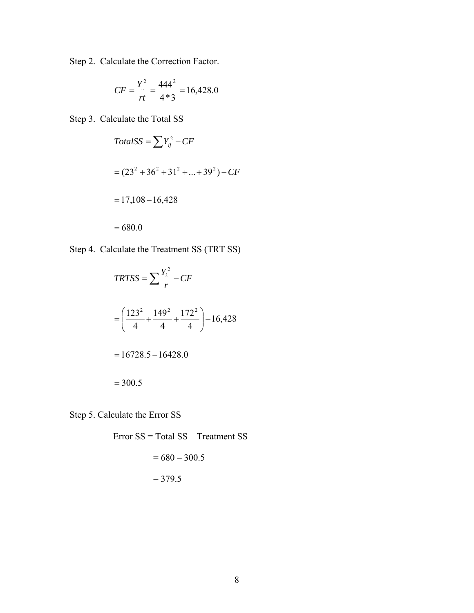Step 2. Calculate the Correction Factor.

$$
CF = \frac{Y^2}{rt} = \frac{444^2}{4*3} = 16,428.0
$$

Step 3. Calculate the Total SS

$$
TotalSS = \sum Y_{ij}^{2} - CF
$$
  
=  $(23^{2} + 36^{2} + 31^{2} + ... + 39^{2}) - CF$   
= 17,108 - 16,428  
= 680.0

Step 4. Calculate the Treatment SS (TRT SS)

$$
TRTSS = \sum \frac{Y_i^2}{r} - CF
$$
  
=  $\left(\frac{123^2}{4} + \frac{149^2}{4} + \frac{172^2}{4}\right) - 16,428$   
= 16728.5 - 16428.0  
= 300.5

Step 5. Calculate the Error SS

Error SS = Total SS – Treatment SS

$$
= 680 - 300.5
$$

$$
= 379.5
$$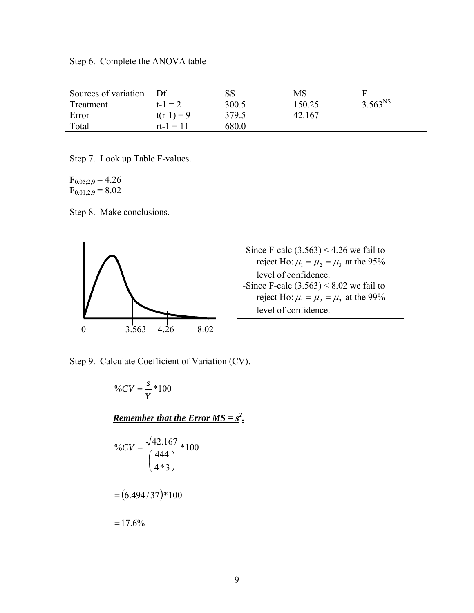Step 6. Complete the ANOVA table

| Sources of variation |              | SS    | MS     |              |
|----------------------|--------------|-------|--------|--------------|
| Treatment            | $t - 1 = 2$  | 300.5 | 150.25 | $3.563^{NS}$ |
| Error                | $t(r-1) = 9$ | 379.5 | 42.167 |              |
| Total                | $rt-1 = 11$  | 680.0 |        |              |

Step 7. Look up Table F-values.

 $F_{0.05;2,9} = 4.26$  $F_{0.01;2,9} = 8.02$ 

Step 8. Make conclusions.



-Since F-calc  $(3.563)$  < 4.26 we fail to reject Ho:  $\mu_1 = \mu_2 = \mu_3$  at the 95% level of confidence. -Since F-calc  $(3.563) < 8.02$  we fail to reject Ho:  $\mu_1 = \mu_2 = \mu_3$  at the 99% level of confidence.

Step 9. Calculate Coefficient of Variation (CV).

$$
\%CV = \frac{s}{Y} * 100
$$
  
Remember that the Error MS = s<sup>2</sup>.  

$$
\%CV = \frac{\sqrt{42.167}}{\left(\frac{444}{4 * 3}\right)} * 100
$$
  

$$
= (6.494/37) * 100
$$
  

$$
= 17.6\%
$$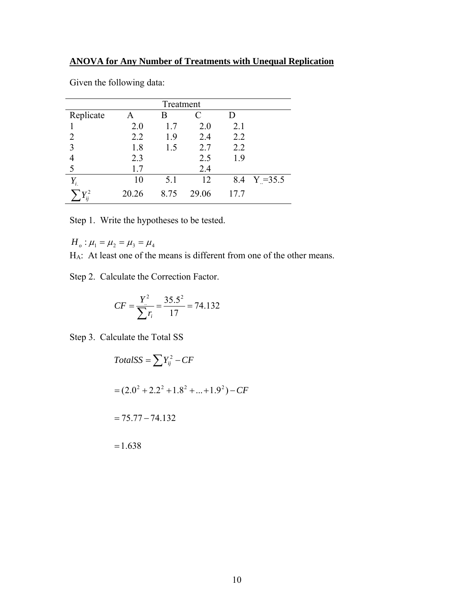| Treatment      |       |      |       |     |            |  |  |  |
|----------------|-------|------|-------|-----|------------|--|--|--|
| Replicate      | A     | В    |       | D   |            |  |  |  |
|                | 2.0   | 1.7  | 2.0   | 2.1 |            |  |  |  |
| 2              | 2.2   | 1.9  | 2.4   | 2.2 |            |  |  |  |
| 3              | 1.8   | 1.5  | 2.7   | 2.2 |            |  |  |  |
|                | 2.3   |      | 2.5   | 1.9 |            |  |  |  |
| 5              | 1.7   |      | 2.4   |     |            |  |  |  |
| $Y_{i.}$       | 10    | 5.1  | 12    | 8.4 | $Y = 35.5$ |  |  |  |
| $\mathbf{v}^2$ | 20.26 | 8.75 | 29.06 | 177 |            |  |  |  |

Given the following data:

Step 1. Write the hypotheses to be tested.

 $H_o: \mu_1 = \mu_2 = \mu_3 = \mu_4$ 

HA: At least one of the means is different from one of the other means.

Step 2. Calculate the Correction Factor.

$$
CF = \frac{Y^2}{\sum r_i} = \frac{35.5^2}{17} = 74.132
$$

Step 3. Calculate the Total SS

$$
TotalSS = \sum Y_{ij}^{2} - CF
$$
  
=  $(2.0^{2} + 2.2^{2} + 1.8^{2} + ... + 1.9^{2}) - CF$   
=  $75.77 - 74.132$   
= 1.638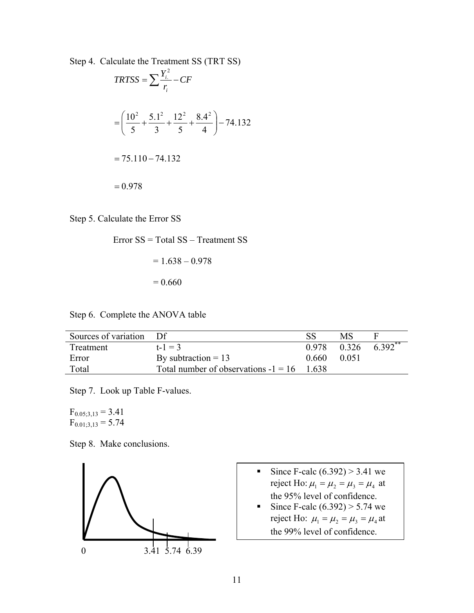Step 4. Calculate the Treatment SS (TRT SS)

$$
TRTSS = \sum \frac{Y_i^2}{r_i} - CF
$$
  
=  $\left(\frac{10^2}{5} + \frac{5.1^2}{3} + \frac{12^2}{5} + \frac{8.4^2}{4}\right) - 74.132$   
= 75.110 - 74.132  
= 0.978

Step 5. Calculate the Error SS

Error SS = Total SS – Treatment SS

$$
= 1.638 - 0.978
$$

$$
= 0.660
$$

Step 6. Complete the ANOVA table

| Sources of variation Df |                                              |       | MS    |                      |
|-------------------------|----------------------------------------------|-------|-------|----------------------|
| Treatment               | $t-1=3$                                      | 0.978 |       | $0.326$ $6.392^{**}$ |
| Error                   | By subtraction $= 13$                        | 0.660 | 0.051 |                      |
| Total                   | Total number of observations $-1 = 16$ 1.638 |       |       |                      |

Step 7. Look up Table F-values.

 $F_{0.05;3,13} = 3.41$  $F_{0.01;3,13} = 5.74$ 

Step 8. Make conclusions.



- Since F-calc  $(6.392) > 3.41$  we reject Ho:  $\mu_1 = \mu_2 = \mu_3 = \mu_4$  at the 95% level of confidence.
- Since F-calc  $(6.392) > 5.74$  we reject Ho:  $\mu_1 = \mu_2 = \mu_3 = \mu_4$  at the 99% level of confidence.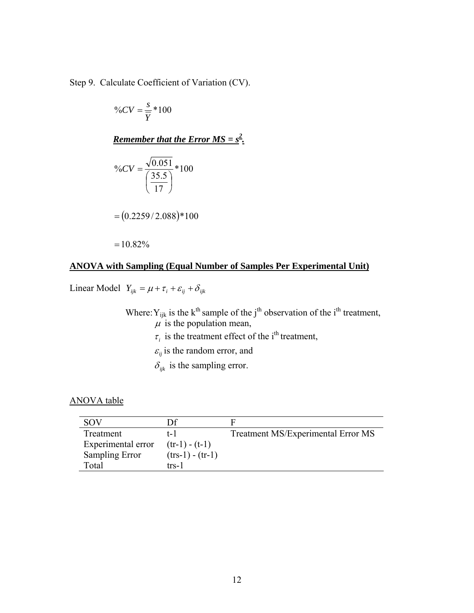Step 9. Calculate Coefficient of Variation (CV).

$$
\%CV = \frac{s}{\overline{Y}} * 100
$$

**Remember that the Error MS =**  $s^2$ **.** 

$$
\%CV = \frac{\sqrt{0.051}}{\left(\frac{35.5}{17}\right)} * 100
$$

$$
= (0.2259/2.088)*100
$$

 $=10.82%$ 

### **ANOVA with Sampling (Equal Number of Samples Per Experimental Unit)**

Linear Model  $Y_{ijk} = \mu + \tau_i + \varepsilon_{ij} + \delta_{ijk}$ 

Where:  $Y_{ijk}$  is the k<sup>th</sup> sample of the j<sup>th</sup> observation of the i<sup>th</sup> treatment,  $\mu$  is the population mean,

- $\tau_i$  is the treatment effect of the i<sup>th</sup> treatment,
- $\varepsilon_{ij}$  is the random error, and
- $\delta_{ijk}$  is the sampling error.

#### ANOVA table

| <b>SOV</b>         | D£                 |                                    |
|--------------------|--------------------|------------------------------------|
| Treatment          | t-1                | Treatment MS/Experimental Error MS |
| Experimental error | $(tr-1) - (t-1)$   |                                    |
| Sampling Error     | $(trs-1) - (tr-1)$ |                                    |
| Total              | trs-1              |                                    |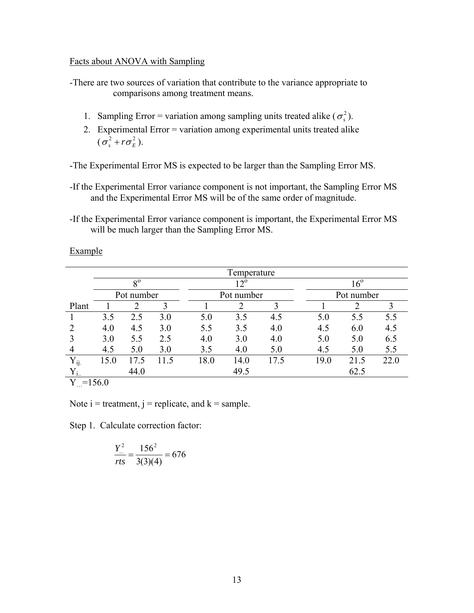#### Facts about ANOVA with Sampling

-There are two sources of variation that contribute to the variance appropriate to comparisons among treatment means.

- 1. Sampling Error = variation among sampling units treated alike  $(\sigma_s^2)$ .
- 2. Experimental Error = variation among experimental units treated alike  $(\sigma_s^2 + r\sigma_E^2)$ .

-The Experimental Error MS is expected to be larger than the Sampling Error MS.

- -If the Experimental Error variance component is not important, the Sampling Error MS and the Experimental Error MS will be of the same order of magnitude.
- -If the Experimental Error variance component is important, the Experimental Error MS will be much larger than the Sampling Error MS.

Example

|           | Temperature |                |      |              |            |      |              |            |      |  |
|-----------|-------------|----------------|------|--------------|------------|------|--------------|------------|------|--|
|           | $8^{\circ}$ |                |      | $12^{\circ}$ |            |      | $16^{\circ}$ |            |      |  |
|           |             | Pot number     |      |              | Pot number |      |              | Pot number |      |  |
| Plant     |             | $\overline{2}$ | 3    |              | 2          | 3    |              | 2          |      |  |
|           | 3.5         | 2.5            | 3.0  | 5.0          | 3.5        | 4.5  | 5.0          | 5.5        | 5.5  |  |
|           | 4.0         | 4.5            | 3.0  | 5.5          | 3.5        | 4.0  | 4.5          | 6.0        | 4.5  |  |
|           | 3.0         | 5.5            | 2.5  | 4.0          | 3.0        | 4.0  | 5.0          | 5.0        | 6.5  |  |
| 4         | 4.5         | 5.0            | 3.0  | 3.5          | 4.0        | 5.0  | 4.5          | 5.0        | 5.5  |  |
| $Y_{ij.}$ | 15.0        | 17.5           | 11.5 | 18.0         | 14.0       | 17.5 | 19.0         | 21.5       | 22.0 |  |
|           |             | 44.0           |      |              | 49.5       |      |              | 62.5       |      |  |
| $=156.0$  |             |                |      |              |            |      |              |            |      |  |

Note  $i =$  treatment,  $j =$  replicate, and  $k =$  sample.

Step 1. Calculate correction factor:

$$
\frac{Y_{\dots}^2}{rts} = \frac{156^2}{3(3)(4)} = 676
$$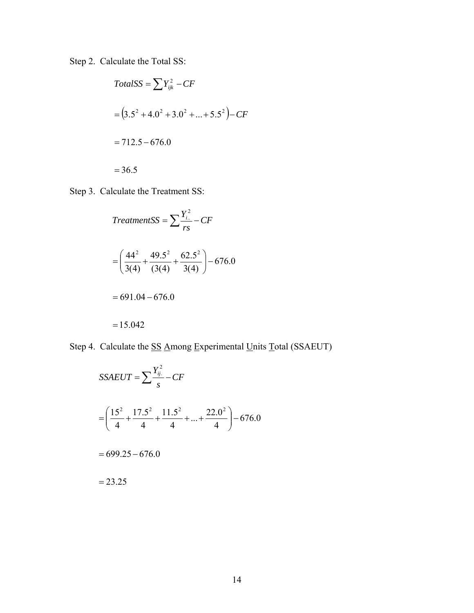Step 2. Calculate the Total SS:

$$
TotalSS = \sum Y_{ijk}^{2} - CF
$$
  
=  $(3.5^{2} + 4.0^{2} + 3.0^{2} + ... + 5.5^{2}) - CF$   
= 712.5 - 676.0  
= 36.5

Step 3. Calculate the Treatment SS:

$$
TreatmentsS = \sum \frac{Y_{i..}^2}{rs} - CF
$$
  
=  $\left(\frac{44^2}{3(4)} + \frac{49.5^2}{(3(4)} + \frac{62.5^2}{3(4)}\right) - 676.0$   
= 691.04 - 676.0  
= 15.042

Step 4. Calculate the SS Among Experimental Units Total (SSAEUT)

$$
SSAEUT = \sum \frac{Y_{ij.}^2}{s} - CF
$$
  
=  $\left(\frac{15^2}{4} + \frac{17.5^2}{4} + \frac{11.5^2}{4} + ... + \frac{22.0^2}{4}\right) - 676.0$   
= 699.25 - 676.0  
= 23.25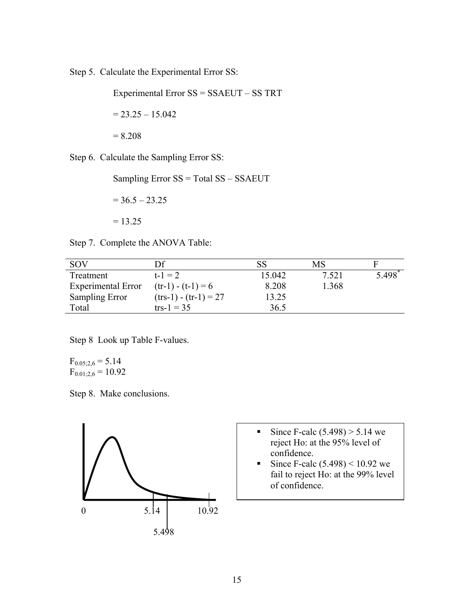Step 5. Calculate the Experimental Error SS:

Experimental Error SS = SSAEUT – SS TRT

 $= 23.25 - 15.042$ 

Step 6. Calculate the Sampling Error SS:

 $= 8.208$ 

Sampling Error SS = Total SS – SSAEUT

 $= 36.5 - 23.25$ 

 $= 13.25$ 

Step 7. Complete the ANOVA Table:

| <b>SOV</b>                | Df                      |        | MS    |       |
|---------------------------|-------------------------|--------|-------|-------|
| Treatment                 | $t - 1 = 2$             | 15.042 | 7.521 | 5.498 |
| <b>Experimental Error</b> | $(tr-1) - (t-1) = 6$    | 8.208  | 1.368 |       |
| Sampling Error            | $(trs-1) - (tr-1) = 27$ | 13.25  |       |       |
| Total                     | $\text{trs-1} = 35$     | 36.5   |       |       |

Step 8 Look up Table F-values.

 $F_{0.05;2,6} = 5.14$  $F_{0.01,2,6} = 10.92$ 

Step 8. Make conclusions.



- Since F-calc  $(5.498) > 5.14$  we reject Ho: at the 95% level of confidence.
- Since F-calc  $(5.498) < 10.92$  we fail to reject Ho: at the 99% level of confidence.